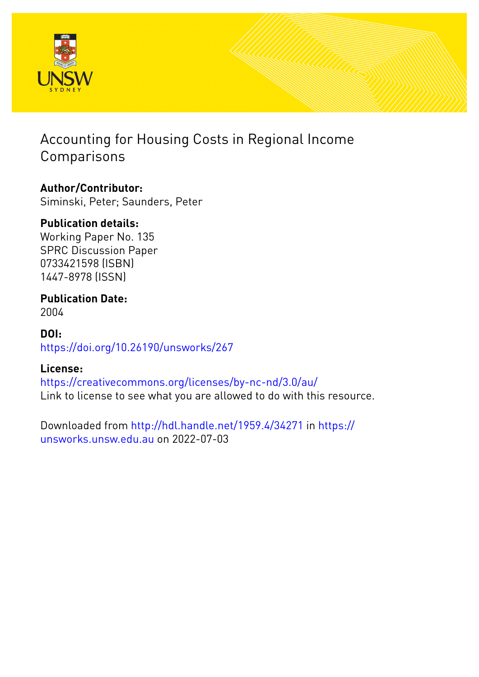

## Accounting for Housing Costs in Regional Income Comparisons

## **Author/Contributor:**

Siminski, Peter; Saunders, Peter

## **Publication details:**

Working Paper No. 135 SPRC Discussion Paper 0733421598 (ISBN) 1447-8978 (ISSN)

#### **Publication Date:** 2004

## **DOI:** [https://doi.org/10.26190/unsworks/267](http://dx.doi.org/https://doi.org/10.26190/unsworks/267)

## **License:**

<https://creativecommons.org/licenses/by-nc-nd/3.0/au/> Link to license to see what you are allowed to do with this resource.

Downloaded from <http://hdl.handle.net/1959.4/34271> in [https://](https://unsworks.unsw.edu.au) [unsworks.unsw.edu.au](https://unsworks.unsw.edu.au) on 2022-07-03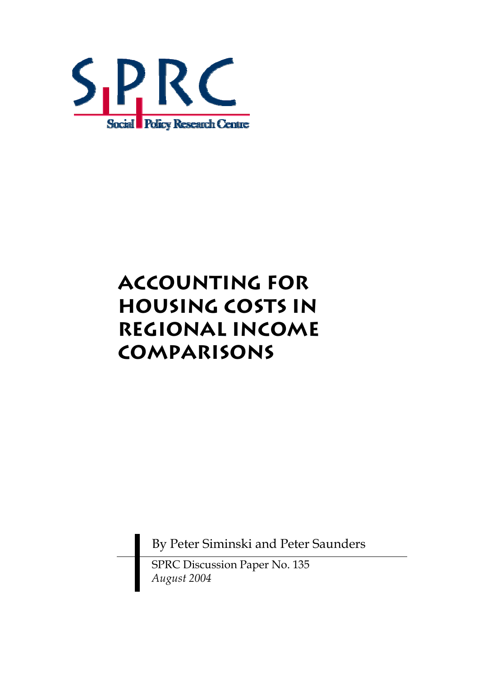

# **Accounting for Housing Costs in Regional Income Comparisons**

By Peter Siminski and Peter Saunders

SPRC Discussion Paper No. 135 *August 2004*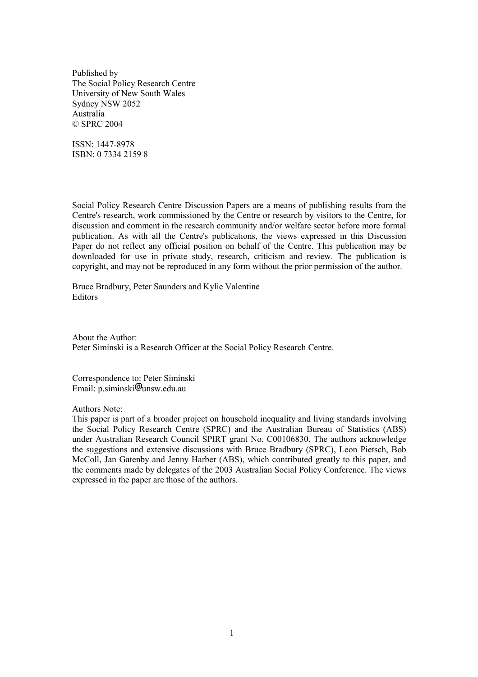Published by The Social Policy Research Centre University of New South Wales Sydney NSW 2052 Australia © SPRC 2004

ISSN: 1447-8978 ISBN: 0 7334 2159 8

Social Policy Research Centre Discussion Papers are a means of publishing results from the Centre's research, work commissioned by the Centre or research by visitors to the Centre, for discussion and comment in the research community and/or welfare sector before more formal publication. As with all the Centre's publications, the views expressed in this Discussion Paper do not reflect any official position on behalf of the Centre. This publication may be downloaded for use in private study, research, criticism and review. The publication is copyright, and may not be reproduced in any form without the prior permission of the author.

Bruce Bradbury, Peter Saunders and Kylie Valentine **Editors** 

About the Author: Peter Siminski is a Research Officer at the Social Policy Research Centre.

Correspondence to: Peter Siminski Email:  $p\text{.}siminski$ <sup>T</sup>unsw.edu.au

Authors Note:

This paper is part of a broader project on household inequality and living standards involving the Social Policy Research Centre (SPRC) and the Australian Bureau of Statistics (ABS) under Australian Research Council SPIRT grant No. C00106830. The authors acknowledge the suggestions and extensive discussions with Bruce Bradbury (SPRC), Leon Pietsch, Bob McColl, Jan Gatenby and Jenny Harber (ABS), which contributed greatly to this paper, and the comments made by delegates of the 2003 Australian Social Policy Conference. The views expressed in the paper are those of the authors.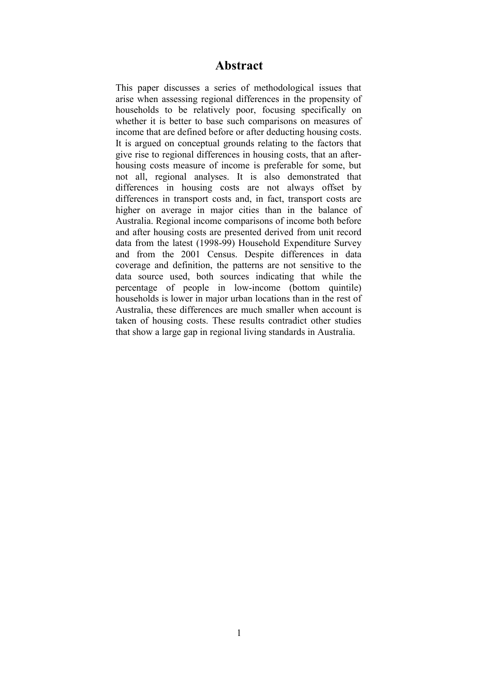#### **Abstract**

This paper discusses a series of methodological issues that arise when assessing regional differences in the propensity of households to be relatively poor, focusing specifically on whether it is better to base such comparisons on measures of income that are defined before or after deducting housing costs. It is argued on conceptual grounds relating to the factors that give rise to regional differences in housing costs, that an afterhousing costs measure of income is preferable for some, but not all, regional analyses. It is also demonstrated that differences in housing costs are not always offset by differences in transport costs and, in fact, transport costs are higher on average in major cities than in the balance of Australia. Regional income comparisons of income both before and after housing costs are presented derived from unit record data from the latest (1998-99) Household Expenditure Survey and from the 2001 Census. Despite differences in data coverage and definition, the patterns are not sensitive to the data source used, both sources indicating that while the percentage of people in low-income (bottom quintile) households is lower in major urban locations than in the rest of Australia, these differences are much smaller when account is taken of housing costs. These results contradict other studies that show a large gap in regional living standards in Australia.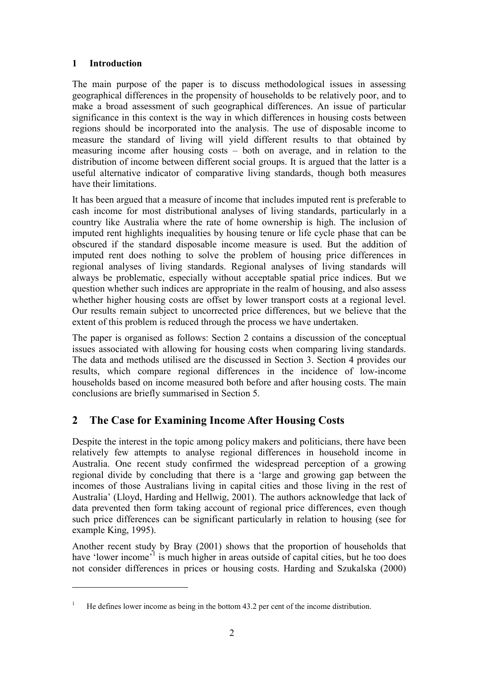#### **1 Introduction**

 $\overline{a}$ 

The main purpose of the paper is to discuss methodological issues in assessing geographical differences in the propensity of households to be relatively poor, and to make a broad assessment of such geographical differences. An issue of particular significance in this context is the way in which differences in housing costs between regions should be incorporated into the analysis. The use of disposable income to measure the standard of living will yield different results to that obtained by measuring income after housing costs  $-$  both on average, and in relation to the distribution of income between different social groups. It is argued that the latter is a useful alternative indicator of comparative living standards, though both measures have their limitations.

It has been argued that a measure of income that includes imputed rent is preferable to cash income for most distributional analyses of living standards, particularly in a country like Australia where the rate of home ownership is high. The inclusion of imputed rent highlights inequalities by housing tenure or life cycle phase that can be obscured if the standard disposable income measure is used. But the addition of imputed rent does nothing to solve the problem of housing price differences in regional analyses of living standards. Regional analyses of living standards will always be problematic, especially without acceptable spatial price indices. But we question whether such indices are appropriate in the realm of housing, and also assess whether higher housing costs are offset by lower transport costs at a regional level. Our results remain subject to uncorrected price differences, but we believe that the extent of this problem is reduced through the process we have undertaken.

The paper is organised as follows: Section 2 contains a discussion of the conceptual issues associated with allowing for housing costs when comparing living standards. The data and methods utilised are the discussed in Section 3. Section 4 provides our results, which compare regional differences in the incidence of low-income households based on income measured both before and after housing costs. The main conclusions are briefly summarised in Section 5.

### **2 The Case for Examining Income After Housing Costs**

Despite the interest in the topic among policy makers and politicians, there have been relatively few attempts to analyse regional differences in household income in Australia. One recent study confirmed the widespread perception of a growing regional divide by concluding that there is a 'large and growing gap between the incomes of those Australians living in capital cities and those living in the rest of Australiaí (Lloyd, Harding and Hellwig, 2001). The authors acknowledge that lack of data prevented then form taking account of regional price differences, even though such price differences can be significant particularly in relation to housing (see for example King, 1995).

Another recent study by Bray (2001) shows that the proportion of households that have 'lower income'<sup>1</sup> is much higher in areas outside of capital cities, but he too does not consider differences in prices or housing costs. Harding and Szukalska (2000)

<sup>1</sup> He defines lower income as being in the bottom 43.2 per cent of the income distribution.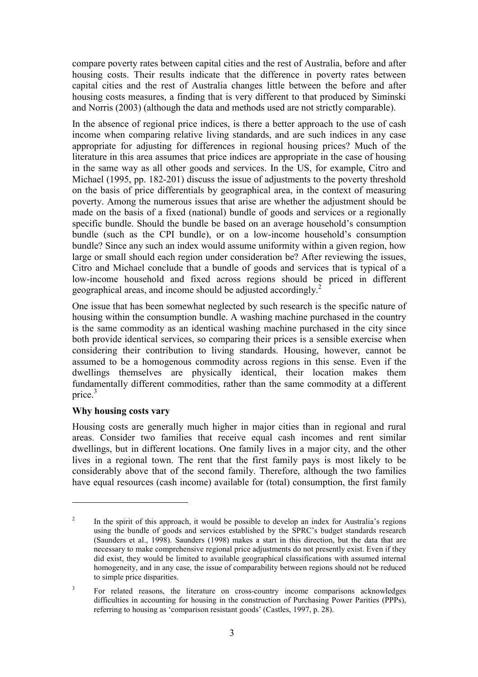compare poverty rates between capital cities and the rest of Australia, before and after housing costs. Their results indicate that the difference in poverty rates between capital cities and the rest of Australia changes little between the before and after housing costs measures, a finding that is very different to that produced by Siminski and Norris (2003) (although the data and methods used are not strictly comparable).

In the absence of regional price indices, is there a better approach to the use of cash income when comparing relative living standards, and are such indices in any case appropriate for adjusting for differences in regional housing prices? Much of the literature in this area assumes that price indices are appropriate in the case of housing in the same way as all other goods and services. In the US, for example, Citro and Michael (1995, pp. 182-201) discuss the issue of adjustments to the poverty threshold on the basis of price differentials by geographical area, in the context of measuring poverty. Among the numerous issues that arise are whether the adjustment should be made on the basis of a fixed (national) bundle of goods and services or a regionally specific bundle. Should the bundle be based on an average household's consumption bundle (such as the CPI bundle), or on a low-income household's consumption bundle? Since any such an index would assume uniformity within a given region, how large or small should each region under consideration be? After reviewing the issues, Citro and Michael conclude that a bundle of goods and services that is typical of a low-income household and fixed across regions should be priced in different geographical areas, and income should be adjusted accordingly.<sup>2</sup>

One issue that has been somewhat neglected by such research is the specific nature of housing within the consumption bundle. A washing machine purchased in the country is the same commodity as an identical washing machine purchased in the city since both provide identical services, so comparing their prices is a sensible exercise when considering their contribution to living standards. Housing, however, cannot be assumed to be a homogenous commodity across regions in this sense. Even if the dwellings themselves are physically identical, their location makes them fundamentally different commodities, rather than the same commodity at a different price.<sup>3</sup>

#### **Why housing costs vary**

 $\overline{a}$ 

Housing costs are generally much higher in major cities than in regional and rural areas. Consider two families that receive equal cash incomes and rent similar dwellings, but in different locations. One family lives in a major city, and the other lives in a regional town. The rent that the first family pays is most likely to be considerably above that of the second family. Therefore, although the two families have equal resources (cash income) available for (total) consumption, the first family

<sup>2</sup> In the spirit of this approach, it would be possible to develop an index for Australia's regions using the bundle of goods and services established by the SPRC's budget standards research (Saunders et al., 1998). Saunders (1998) makes a start in this direction, but the data that are necessary to make comprehensive regional price adjustments do not presently exist. Even if they did exist, they would be limited to available geographical classifications with assumed internal homogeneity, and in any case, the issue of comparability between regions should not be reduced to simple price disparities.

<sup>3</sup> For related reasons, the literature on cross-country income comparisons acknowledges difficulties in accounting for housing in the construction of Purchasing Power Parities (PPPs), referring to housing as 'comparison resistant goods' (Castles, 1997, p. 28).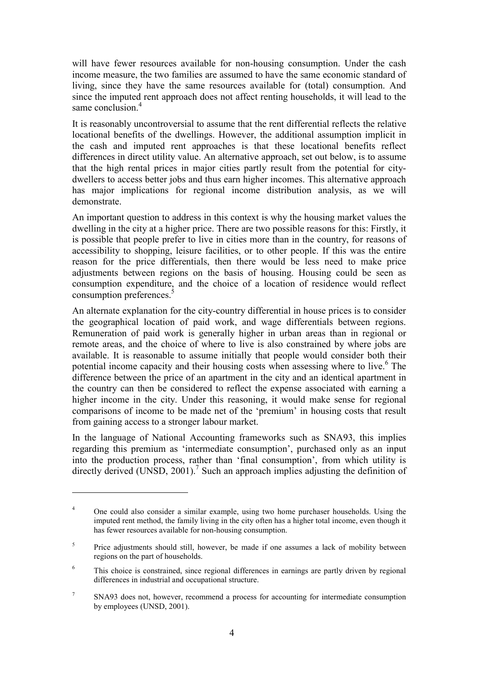will have fewer resources available for non-housing consumption. Under the cash income measure, the two families are assumed to have the same economic standard of living, since they have the same resources available for (total) consumption. And since the imputed rent approach does not affect renting households, it will lead to the same conclusion<sup>4</sup>

It is reasonably uncontroversial to assume that the rent differential reflects the relative locational benefits of the dwellings. However, the additional assumption implicit in the cash and imputed rent approaches is that these locational benefits reflect differences in direct utility value. An alternative approach, set out below, is to assume that the high rental prices in major cities partly result from the potential for citydwellers to access better jobs and thus earn higher incomes. This alternative approach has major implications for regional income distribution analysis, as we will demonstrate.

An important question to address in this context is why the housing market values the dwelling in the city at a higher price. There are two possible reasons for this: Firstly, it is possible that people prefer to live in cities more than in the country, for reasons of accessibility to shopping, leisure facilities, or to other people. If this was the entire reason for the price differentials, then there would be less need to make price adjustments between regions on the basis of housing. Housing could be seen as consumption expenditure, and the choice of a location of residence would reflect consumption preferences.<sup>5</sup>

An alternate explanation for the city-country differential in house prices is to consider the geographical location of paid work, and wage differentials between regions. Remuneration of paid work is generally higher in urban areas than in regional or remote areas, and the choice of where to live is also constrained by where jobs are available. It is reasonable to assume initially that people would consider both their potential income capacity and their housing costs when assessing where to live.<sup>6</sup> The difference between the price of an apartment in the city and an identical apartment in the country can then be considered to reflect the expense associated with earning a higher income in the city. Under this reasoning, it would make sense for regional comparisons of income to be made net of the 'premium' in housing costs that result from gaining access to a stronger labour market.

In the language of National Accounting frameworks such as SNA93, this implies regarding this premium as 'intermediate consumption', purchased only as an input into the production process, rather than 'final consumption', from which utility is directly derived  $(UNSD, 2001)$ .<sup>7</sup> Such an approach implies adjusting the definition of

<sup>4</sup> One could also consider a similar example, using two home purchaser households. Using the imputed rent method, the family living in the city often has a higher total income, even though it has fewer resources available for non-housing consumption.

<sup>5</sup> Price adjustments should still, however, be made if one assumes a lack of mobility between regions on the part of households.

<sup>6</sup> This choice is constrained, since regional differences in earnings are partly driven by regional differences in industrial and occupational structure.

<sup>7</sup> SNA93 does not, however, recommend a process for accounting for intermediate consumption by employees (UNSD, 2001).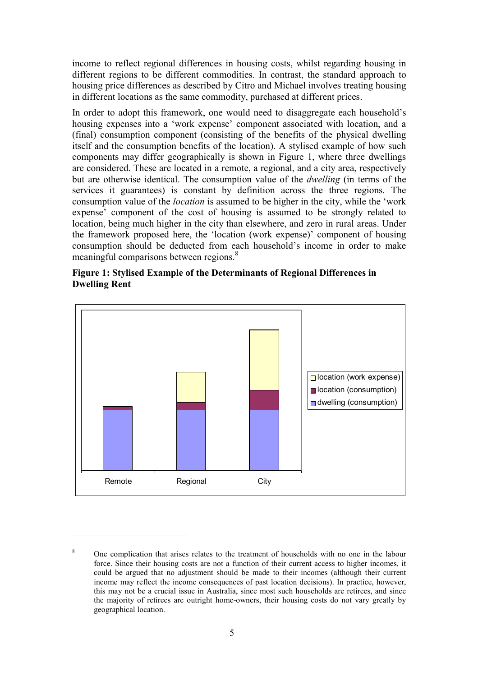income to reflect regional differences in housing costs, whilst regarding housing in different regions to be different commodities. In contrast, the standard approach to housing price differences as described by Citro and Michael involves treating housing in different locations as the same commodity, purchased at different prices.

In order to adopt this framework, one would need to disaggregate each household's housing expenses into a 'work expense' component associated with location, and a (final) consumption component (consisting of the benefits of the physical dwelling itself and the consumption benefits of the location). A stylised example of how such components may differ geographically is shown in Figure 1, where three dwellings are considered. These are located in a remote, a regional, and a city area, respectively but are otherwise identical. The consumption value of the *dwelling* (in terms of the services it guarantees) is constant by definition across the three regions. The consumption value of the *location* is assumed to be higher in the city, while the 'work' expense' component of the cost of housing is assumed to be strongly related to location, being much higher in the city than elsewhere, and zero in rural areas. Under the framework proposed here, the 'location (work expense)' component of housing consumption should be deducted from each household's income in order to make meaningful comparisons between regions.<sup>8</sup>





<sup>8</sup> One complication that arises relates to the treatment of households with no one in the labour force. Since their housing costs are not a function of their current access to higher incomes, it could be argued that no adjustment should be made to their incomes (although their current income may reflect the income consequences of past location decisions). In practice, however, this may not be a crucial issue in Australia, since most such households are retirees, and since the majority of retirees are outright home-owners, their housing costs do not vary greatly by geographical location.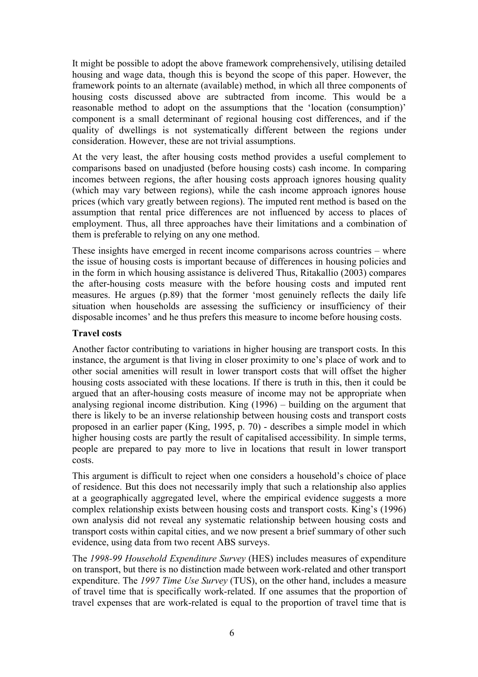It might be possible to adopt the above framework comprehensively, utilising detailed housing and wage data, though this is beyond the scope of this paper. However, the framework points to an alternate (available) method, in which all three components of housing costs discussed above are subtracted from income. This would be a reasonable method to adopt on the assumptions that the 'location (consumption)' component is a small determinant of regional housing cost differences, and if the quality of dwellings is not systematically different between the regions under consideration. However, these are not trivial assumptions.

At the very least, the after housing costs method provides a useful complement to comparisons based on unadjusted (before housing costs) cash income. In comparing incomes between regions, the after housing costs approach ignores housing quality (which may vary between regions), while the cash income approach ignores house prices (which vary greatly between regions). The imputed rent method is based on the assumption that rental price differences are not influenced by access to places of employment. Thus, all three approaches have their limitations and a combination of them is preferable to relying on any one method.

These insights have emerged in recent income comparisons across countries  $-$  where the issue of housing costs is important because of differences in housing policies and in the form in which housing assistance is delivered Thus, Ritakallio (2003) compares the after-housing costs measure with the before housing costs and imputed rent measures. He argues (p.89) that the former ëmost genuinely reflects the daily life situation when households are assessing the sufficiency or insufficiency of their disposable incomes' and he thus prefers this measure to income before housing costs.

#### **Travel costs**

Another factor contributing to variations in higher housing are transport costs. In this instance, the argument is that living in closer proximity to one's place of work and to other social amenities will result in lower transport costs that will offset the higher housing costs associated with these locations. If there is truth in this, then it could be argued that an after-housing costs measure of income may not be appropriate when analysing regional income distribution. King  $(1996)$  – building on the argument that there is likely to be an inverse relationship between housing costs and transport costs proposed in an earlier paper (King, 1995, p. 70) - describes a simple model in which higher housing costs are partly the result of capitalised accessibility. In simple terms, people are prepared to pay more to live in locations that result in lower transport costs.

This argument is difficult to reject when one considers a household's choice of place of residence. But this does not necessarily imply that such a relationship also applies at a geographically aggregated level, where the empirical evidence suggests a more complex relationship exists between housing costs and transport costs. King's (1996) own analysis did not reveal any systematic relationship between housing costs and transport costs within capital cities, and we now present a brief summary of other such evidence, using data from two recent ABS surveys.

The *1998-99 Household Expenditure Survey* (HES) includes measures of expenditure on transport, but there is no distinction made between work-related and other transport expenditure. The *1997 Time Use Survey* (TUS), on the other hand, includes a measure of travel time that is specifically work-related. If one assumes that the proportion of travel expenses that are work-related is equal to the proportion of travel time that is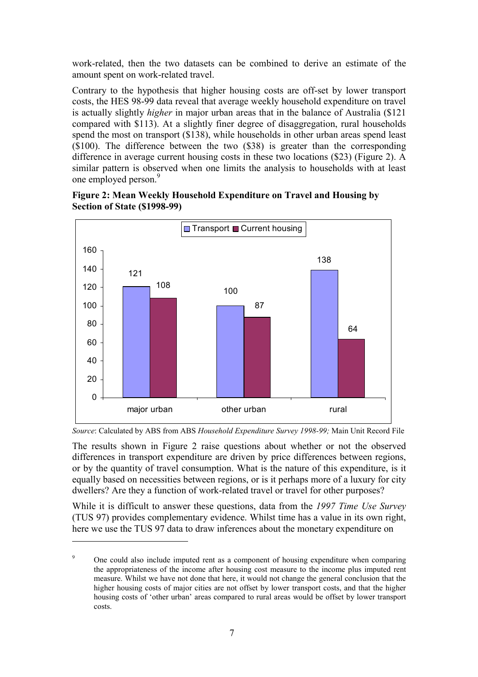<span id="page-9-0"></span>work-related, then the two datasets can be combined to derive an estimate of the amount spent on work-related travel.

Contrary to the hypothesis that higher housing costs are off-set by lower transport costs, the HES 98-99 data reveal that average weekly household expenditure on travel is actually slightly *higher* in major urban areas that in the balance of Australia (\$121 compared with \$113). At a slightly finer degree of disaggregation, rural households spend the most on transport (\$138), while households in other urban areas spend least (\$100). The difference between the two (\$38) is greater than the corresponding difference in average current housing costs in these two locations (\$23) (Figure 2). A similar pattern is observed when one limits the analysis to households with at least one employed person.<sup>9</sup>





*Source*: Calculated by ABS from ABS *Household Expenditure Survey 1998-99;* Main Unit Record File

The results shown in Figure 2 raise questions about whether or not the observed differences in transport expenditure are driven by price differences between regions, or by the quantity of travel consumption. What is the nature of this expenditure, is it equally based on necessities between regions, or is it perhaps more of a luxury for city dwellers? Are they a function of work-related travel or travel for other purposes?

While it is difficult to answer these questions, data from the *1997 Time Use Survey* (TUS 97) provides complementary evidence. Whilst time has a value in its own right, here we use the TUS 97 data to draw inferences about the monetary expenditure on

 $\overline{9}$  One could also include imputed rent as a component of housing expenditure when comparing the appropriateness of the income after housing cost measure to the income plus imputed rent measure. Whilst we have not done that here, it would not change the general conclusion that the higher housing costs of major cities are not offset by lower transport costs, and that the higher housing costs of 'other urban' areas compared to rural areas would be offset by lower transport costs.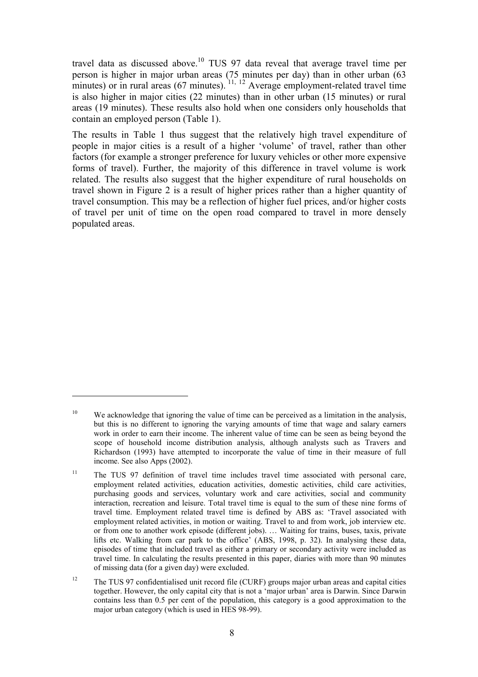travel data as discussed above.<sup>10</sup> TUS 97 data reveal that average travel time per person is higher in major urban areas (75 minutes per day) than in other urban (63 minutes) or in rural areas  $(67 \text{ minutes})$ .  $^{11, 12}$  Average employment-related travel time is also higher in major cities (22 minutes) than in other urban (15 minutes) or rural areas (19 minutes). These results also hold when one considers only households that contain an employed person ([Table 1\)](#page-11-0).

The results in [Table 1](#page-11-0) thus suggest that the relatively high travel expenditure of people in major cities is a result of a higher 'volume' of travel, rather than other factors (for example a stronger preference for luxury vehicles or other more expensive forms of travel). Further, the majority of this difference in travel volume is work related. The results also suggest that the higher expenditure of rural households on travel shown in [Figure 2](#page-9-0) is a result of higher prices rather than a higher quantity of travel consumption. This may be a reflection of higher fuel prices, and/or higher costs of travel per unit of time on the open road compared to travel in more densely populated areas.

<sup>&</sup>lt;sup>10</sup> We acknowledge that ignoring the value of time can be perceived as a limitation in the analysis, but this is no different to ignoring the varying amounts of time that wage and salary earners work in order to earn their income. The inherent value of time can be seen as being beyond the scope of household income distribution analysis, although analysts such as Travers and Richardson (1993) have attempted to incorporate the value of time in their measure of full income. See also Apps (2002).

<sup>&</sup>lt;sup>11</sup> The TUS 97 definition of travel time includes travel time associated with personal care, employment related activities, education activities, domestic activities, child care activities, purchasing goods and services, voluntary work and care activities, social and community interaction, recreation and leisure. Total travel time is equal to the sum of these nine forms of travel time. Employment related travel time is defined by ABS as: ëTravel associated with employment related activities, in motion or waiting. Travel to and from work, job interview etc. or from one to another work episode (different jobs). ... Waiting for trains, buses, taxis, private lifts etc. Walking from car park to the office' (ABS, 1998, p. 32). In analysing these data, episodes of time that included travel as either a primary or secondary activity were included as travel time. In calculating the results presented in this paper, diaries with more than 90 minutes of missing data (for a given day) were excluded.

<sup>&</sup>lt;sup>12</sup> The TUS 97 confidentialised unit record file (CURF) groups major urban areas and capital cities together. However, the only capital city that is not a 'major urban' area is Darwin. Since Darwin contains less than 0.5 per cent of the population, this category is a good approximation to the major urban category (which is used in HES 98-99).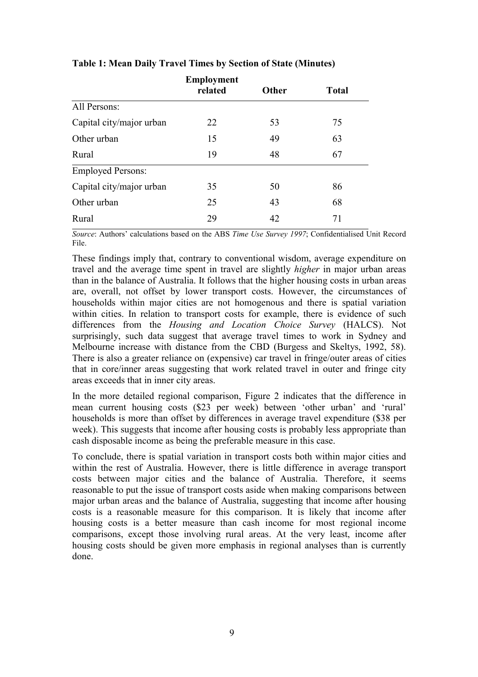|                          | <b>Employment</b><br>related | Other | <b>Total</b> |
|--------------------------|------------------------------|-------|--------------|
| All Persons:             |                              |       |              |
| Capital city/major urban | 22                           | 53    | 75           |
| Other urban              | 15                           | 49    | 63           |
| Rural                    | 19                           | 48    | 67           |
| <b>Employed Persons:</b> |                              |       |              |
| Capital city/major urban | 35                           | 50    | 86           |
| Other urban              | 25                           | 43    | 68           |
| Rural                    | 29                           | 42    | 71           |

#### <span id="page-11-0"></span>**Table 1: Mean Daily Travel Times by Section of State (Minutes)**

*Source*: Authors' calculations based on the ABS *Time Use Survey 1997*; Confidentialised Unit Record File.

These findings imply that, contrary to conventional wisdom, average expenditure on travel and the average time spent in travel are slightly *higher* in major urban areas than in the balance of Australia. It follows that the higher housing costs in urban areas are, overall, not offset by lower transport costs. However, the circumstances of households within major cities are not homogenous and there is spatial variation within cities. In relation to transport costs for example, there is evidence of such differences from the *Housing and Location Choice Survey* (HALCS). Not surprisingly, such data suggest that average travel times to work in Sydney and Melbourne increase with distance from the CBD (Burgess and Skeltys, 1992, 58). There is also a greater reliance on (expensive) car travel in fringe/outer areas of cities that in core/inner areas suggesting that work related travel in outer and fringe city areas exceeds that in inner city areas.

In the more detailed regional comparison, [Figure 2](#page-9-0) indicates that the difference in mean current housing costs (\$23 per week) between 'other urban' and 'rural' households is more than offset by differences in average travel expenditure (\$38 per week). This suggests that income after housing costs is probably less appropriate than cash disposable income as being the preferable measure in this case.

To conclude, there is spatial variation in transport costs both within major cities and within the rest of Australia. However, there is little difference in average transport costs between major cities and the balance of Australia. Therefore, it seems reasonable to put the issue of transport costs aside when making comparisons between major urban areas and the balance of Australia, suggesting that income after housing costs is a reasonable measure for this comparison. It is likely that income after housing costs is a better measure than cash income for most regional income comparisons, except those involving rural areas. At the very least, income after housing costs should be given more emphasis in regional analyses than is currently done.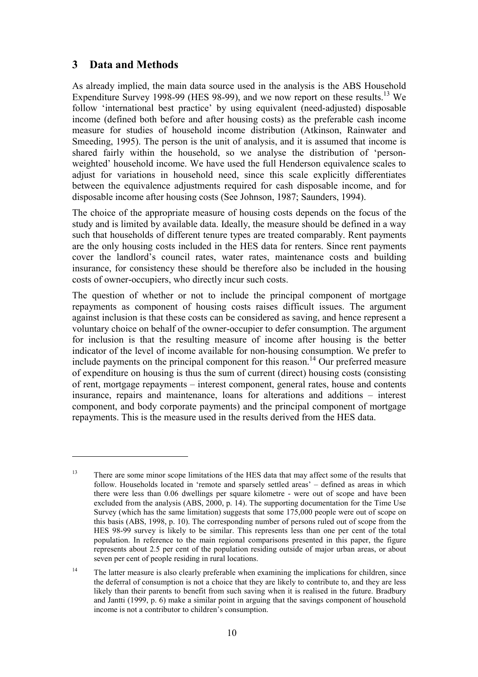#### **3 Data and Methods**

 $\overline{a}$ 

As already implied, the main data source used in the analysis is the ABS Household Expenditure Survey 1998-99 (HES 98-99), and we now report on these results.<sup>13</sup> We follow 'international best practice' by using equivalent (need-adjusted) disposable income (defined both before and after housing costs) as the preferable cash income measure for studies of household income distribution (Atkinson, Rainwater and Smeeding, 1995). The person is the unit of analysis, and it is assumed that income is shared fairly within the household, so we analyse the distribution of ëpersonweighted' household income. We have used the full Henderson equivalence scales to adjust for variations in household need, since this scale explicitly differentiates between the equivalence adjustments required for cash disposable income, and for disposable income after housing costs (See Johnson, 1987; Saunders, 1994).

The choice of the appropriate measure of housing costs depends on the focus of the study and is limited by available data. Ideally, the measure should be defined in a way such that households of different tenure types are treated comparably. Rent payments are the only housing costs included in the HES data for renters. Since rent payments cover the landlord's council rates, water rates, maintenance costs and building insurance, for consistency these should be therefore also be included in the housing costs of owner-occupiers, who directly incur such costs.

The question of whether or not to include the principal component of mortgage repayments as component of housing costs raises difficult issues. The argument against inclusion is that these costs can be considered as saving, and hence represent a voluntary choice on behalf of the owner-occupier to defer consumption. The argument for inclusion is that the resulting measure of income after housing is the better indicator of the level of income available for non-housing consumption. We prefer to include payments on the principal component for this reason.<sup>14</sup> Our preferred measure of expenditure on housing is thus the sum of current (direct) housing costs (consisting of rent, mortgage repayments – interest component, general rates, house and contents insurance, repairs and maintenance, loans for alterations and additions  $-$  interest component, and body corporate payments) and the principal component of mortgage repayments. This is the measure used in the results derived from the HES data.

<sup>&</sup>lt;sup>13</sup> There are some minor scope limitations of the HES data that may affect some of the results that follow. Households located in 'remote and sparsely settled areas' – defined as areas in which there were less than 0.06 dwellings per square kilometre - were out of scope and have been excluded from the analysis (ABS, 2000, p. 14). The supporting documentation for the Time Use Survey (which has the same limitation) suggests that some 175,000 people were out of scope on this basis (ABS, 1998, p. 10). The corresponding number of persons ruled out of scope from the HES 98-99 survey is likely to be similar. This represents less than one per cent of the total population. In reference to the main regional comparisons presented in this paper, the figure represents about 2.5 per cent of the population residing outside of major urban areas, or about seven per cent of people residing in rural locations.

<sup>&</sup>lt;sup>14</sup> The latter measure is also clearly preferable when examining the implications for children, since the deferral of consumption is not a choice that they are likely to contribute to, and they are less likely than their parents to benefit from such saving when it is realised in the future. Bradbury and Jantti (1999, p. 6) make a similar point in arguing that the savings component of household income is not a contributor to children's consumption.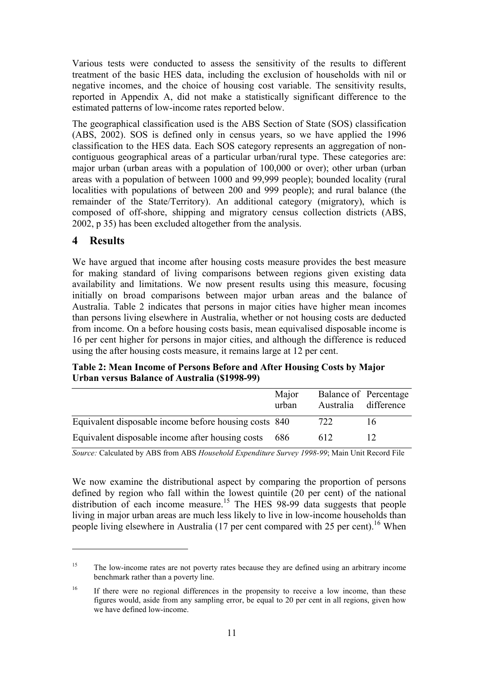Various tests were conducted to assess the sensitivity of the results to different treatment of the basic HES data, including the exclusion of households with nil or negative incomes, and the choice of housing cost variable. The sensitivity results, reported in Appendix A, did not make a statistically significant difference to the estimated patterns of low-income rates reported below.

The geographical classification used is the ABS Section of State (SOS) classification (ABS, 2002). SOS is defined only in census years, so we have applied the 1996 classification to the HES data. Each SOS category represents an aggregation of noncontiguous geographical areas of a particular urban/rural type. These categories are: major urban (urban areas with a population of 100,000 or over); other urban (urban areas with a population of between 1000 and 99,999 people); bounded locality (rural localities with populations of between 200 and 999 people); and rural balance (the remainder of the State/Territory). An additional category (migratory), which is composed of off-shore, shipping and migratory census collection districts (ABS, 2002, p 35) has been excluded altogether from the analysis.

#### **4 Results**

 $\overline{a}$ 

We have argued that income after housing costs measure provides the best measure for making standard of living comparisons between regions given existing data availability and limitations. We now present results using this measure, focusing initially on broad comparisons between major urban areas and the balance of Australia. Table 2 indicates that persons in major cities have higher mean incomes than persons living elsewhere in Australia, whether or not housing costs are deducted from income. On a before housing costs basis, mean equivalised disposable income is 16 per cent higher for persons in major cities, and although the difference is reduced using the after housing costs measure, it remains large at 12 per cent.

| Table 2: Mean Income of Persons Before and After Housing Costs by Major |
|-------------------------------------------------------------------------|
| Urban versus Balance of Australia (\$1998-99)                           |

|                                                       | Major<br>urban | Balance of Percentage<br>Australia difference |    |
|-------------------------------------------------------|----------------|-----------------------------------------------|----|
| Equivalent disposable income before housing costs 840 |                | 722                                           | 16 |
| Equivalent disposable income after housing costs      | 686            | 612                                           |    |

*Source:* Calculated by ABS from ABS *Household Expenditure Survey 1998-99*; Main Unit Record File

We now examine the distributional aspect by comparing the proportion of persons defined by region who fall within the lowest quintile (20 per cent) of the national  $\frac{d}{dx}$  distribution of each income measure.<sup>15</sup> The HES 98-99 data suggests that people living in major urban areas are much less likely to live in low-income households than people living elsewhere in Australia  $(17$  per cent compared with 25 per cent).<sup>16</sup> When

<sup>&</sup>lt;sup>15</sup> The low-income rates are not poverty rates because they are defined using an arbitrary income benchmark rather than a poverty line.

<sup>&</sup>lt;sup>16</sup> If there were no regional differences in the propensity to receive a low income, than these figures would, aside from any sampling error, be equal to 20 per cent in all regions, given how we have defined low-income.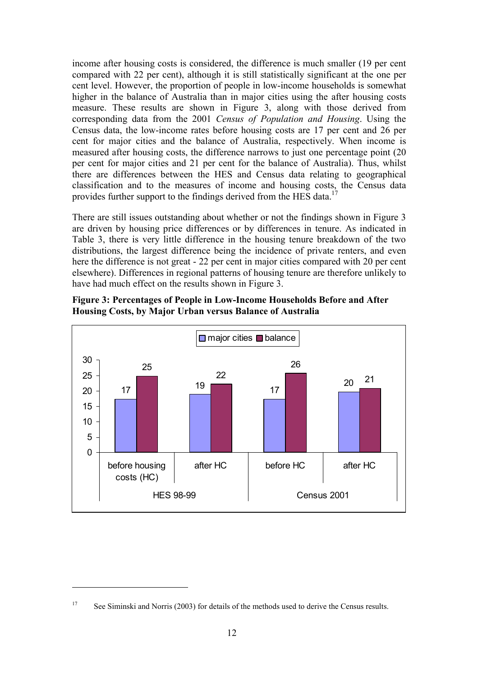income after housing costs is considered, the difference is much smaller (19 per cent compared with 22 per cent), although it is still statistically significant at the one per cent level. However, the proportion of people in low-income households is somewhat higher in the balance of Australia than in major cities using the after housing costs measure. These results are shown in Figure 3, along with those derived from corresponding data from the 2001 *Census of Population and Housing*. Using the Census data, the low-income rates before housing costs are 17 per cent and 26 per cent for major cities and the balance of Australia, respectively. When income is measured after housing costs, the difference narrows to just one percentage point (20 per cent for major cities and 21 per cent for the balance of Australia). Thus, whilst there are differences between the HES and Census data relating to geographical classification and to the measures of income and housing costs, the Census data provides further support to the findings derived from the HES data.<sup>1</sup>

There are still issues outstanding about whether or not the findings shown in Figure 3 are driven by housing price differences or by differences in tenure. As indicated in [Table 3,](#page-15-0) there is very little difference in the housing tenure breakdown of the two distributions, the largest difference being the incidence of private renters, and even here the difference is not great - 22 per cent in major cities compared with 20 per cent elsewhere). Differences in regional patterns of housing tenure are therefore unlikely to have had much effect on the results shown in Figure 3.





<sup>&</sup>lt;sup>17</sup> See Siminski and Norris (2003) for details of the methods used to derive the Census results.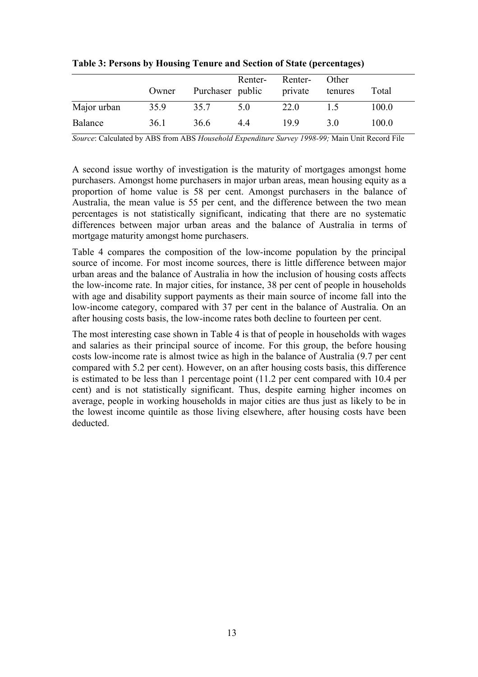|             | Owner | Purchaser public | Renter- | Renter-<br>private | Other<br>tenures | Total |
|-------------|-------|------------------|---------|--------------------|------------------|-------|
| Major urban | 35.9  | 35.7             | 5.0     | 22.0               | 15               | 100.0 |
| Balance     | 36.1  | 36.6             | 44      | 199                | 3 O              | 100.0 |

<span id="page-15-0"></span>**Table 3: Persons by Housing Tenure and Section of State (percentages)** 

*Source*: Calculated by ABS from ABS *Household Expenditure Survey 1998-99;* Main Unit Record File

A second issue worthy of investigation is the maturity of mortgages amongst home purchasers. Amongst home purchasers in major urban areas, mean housing equity as a proportion of home value is 58 per cent. Amongst purchasers in the balance of Australia, the mean value is 55 per cent, and the difference between the two mean percentages is not statistically significant, indicating that there are no systematic differences between major urban areas and the balance of Australia in terms of mortgage maturity amongst home purchasers.

[Table 4](#page-16-0) compares the composition of the low-income population by the principal source of income. For most income sources, there is little difference between major urban areas and the balance of Australia in how the inclusion of housing costs affects the low-income rate. In major cities, for instance, 38 per cent of people in households with age and disability support payments as their main source of income fall into the low-income category, compared with 37 per cent in the balance of Australia. On an after housing costs basis, the low-income rates both decline to fourteen per cent.

The most interesting case shown in [Table 4](#page-16-0) is that of people in households with wages and salaries as their principal source of income. For this group, the before housing costs low-income rate is almost twice as high in the balance of Australia (9.7 per cent compared with 5.2 per cent). However, on an after housing costs basis, this difference is estimated to be less than 1 percentage point (11.2 per cent compared with 10.4 per cent) and is not statistically significant. Thus, despite earning higher incomes on average, people in working households in major cities are thus just as likely to be in the lowest income quintile as those living elsewhere, after housing costs have been deducted.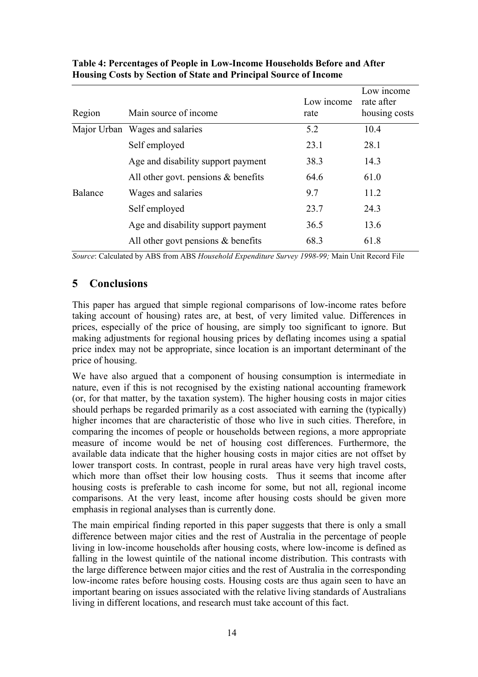| Region  | Main source of income                 | Low income<br>rate | Low income<br>rate after<br>housing costs |
|---------|---------------------------------------|--------------------|-------------------------------------------|
|         | Major Urban Wages and salaries        | 5.2                | 10.4                                      |
|         | Self employed                         | 23.1               | 28.1                                      |
|         | Age and disability support payment    | 38.3               | 14.3                                      |
|         | All other govt. pensions $&$ benefits | 64.6               | 61.0                                      |
| Balance | Wages and salaries                    | 9.7                | 11.2                                      |
|         | Self employed                         | 23.7               | 24.3                                      |
|         | Age and disability support payment    | 36.5               | 13.6                                      |
|         | All other govt pensions $\&$ benefits | 68.3               | 61.8                                      |

#### <span id="page-16-0"></span>**Table 4: Percentages of People in Low-Income Households Before and After Housing Costs by Section of State and Principal Source of Income**

*Source*: Calculated by ABS from ABS *Household Expenditure Survey 1998-99;* Main Unit Record File

#### **5 Conclusions**

This paper has argued that simple regional comparisons of low-income rates before taking account of housing) rates are, at best, of very limited value. Differences in prices, especially of the price of housing, are simply too significant to ignore. But making adjustments for regional housing prices by deflating incomes using a spatial price index may not be appropriate, since location is an important determinant of the price of housing.

We have also argued that a component of housing consumption is intermediate in nature, even if this is not recognised by the existing national accounting framework (or, for that matter, by the taxation system). The higher housing costs in major cities should perhaps be regarded primarily as a cost associated with earning the (typically) higher incomes that are characteristic of those who live in such cities. Therefore, in comparing the incomes of people or households between regions, a more appropriate measure of income would be net of housing cost differences. Furthermore, the available data indicate that the higher housing costs in major cities are not offset by lower transport costs. In contrast, people in rural areas have very high travel costs, which more than offset their low housing costs. Thus it seems that income after housing costs is preferable to cash income for some, but not all, regional income comparisons. At the very least, income after housing costs should be given more emphasis in regional analyses than is currently done.

The main empirical finding reported in this paper suggests that there is only a small difference between major cities and the rest of Australia in the percentage of people living in low-income households after housing costs, where low-income is defined as falling in the lowest quintile of the national income distribution. This contrasts with the large difference between major cities and the rest of Australia in the corresponding low-income rates before housing costs. Housing costs are thus again seen to have an important bearing on issues associated with the relative living standards of Australians living in different locations, and research must take account of this fact.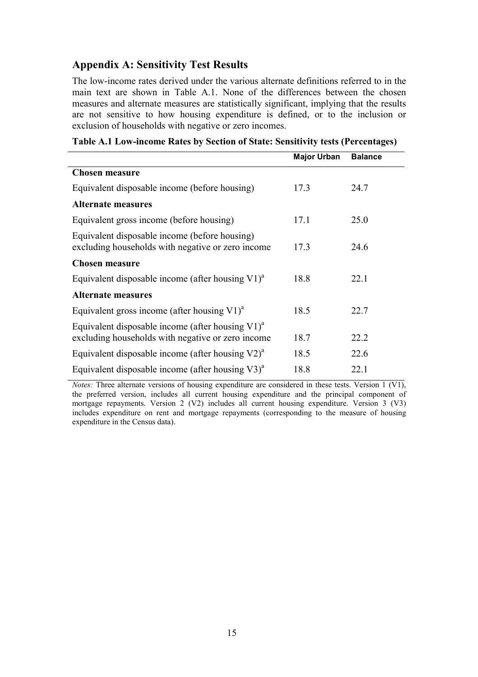#### **Appendix A: Sensitivity Test Results**

The low-income rates derived under the various alternate definitions referred to in the main text are shown in Table A.1. None of the differences between the chosen measures and alternate measures are statistically significant, implying that the results are not sensitive to how housing expenditure is defined, or to the inclusion or exclusion of households with negative or zero incomes.

| Table A.1 Low-income Rates by Section of State: Sensitivity tests (Percentages) |  |  |  |  |  |  |  |  |  |  |
|---------------------------------------------------------------------------------|--|--|--|--|--|--|--|--|--|--|
|---------------------------------------------------------------------------------|--|--|--|--|--|--|--|--|--|--|

|                                                                                                                      | <b>Major Urban</b> | <b>Balance</b> |
|----------------------------------------------------------------------------------------------------------------------|--------------------|----------------|
| <b>Chosen measure</b>                                                                                                |                    |                |
| Equivalent disposable income (before housing)                                                                        | 17.3               | 24.7           |
| <b>Alternate measures</b>                                                                                            |                    |                |
| Equivalent gross income (before housing)                                                                             | 17.1               | 25.0           |
| Equivalent disposable income (before housing)<br>excluding households with negative or zero income                   | 17.3               | 24.6           |
| <b>Chosen measure</b>                                                                                                |                    |                |
| Equivalent disposable income (after housing $V1$ ) <sup>a</sup>                                                      | 18.8               | 22.1           |
| <b>Alternate measures</b>                                                                                            |                    |                |
| Equivalent gross income (after housing $V1$ ) <sup>a</sup>                                                           | 18.5               | 22.7           |
| Equivalent disposable income (after housing $V1$ ) <sup>a</sup><br>excluding households with negative or zero income | 18.7               | 22.2           |
| Equivalent disposable income (after housing $V2$ ) <sup>a</sup>                                                      | 18.5               | 22.6           |
| Equivalent disposable income (after housing $V3$ ) <sup>a</sup>                                                      | 18.8               | 22.1           |

*Notes:* Three alternate versions of housing expenditure are considered in these tests. Version 1 (V1), the preferred version, includes all current housing expenditure and the principal component of mortgage repayments. Version 2 (V2) includes all current housing expenditure. Version 3 (V3) includes expenditure on rent and mortgage repayments (corresponding to the measure of housing expenditure in the Census data).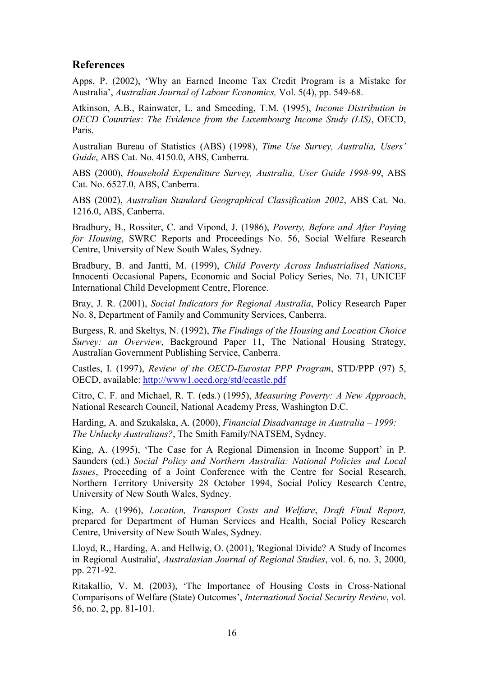#### **References**

Apps, P. (2002), ëWhy an Earned Income Tax Credit Program is a Mistake for Australiaí, *Australian Journal of Labour Economics,* Vol. 5(4), pp. 549-68.

Atkinson, A.B., Rainwater, L. and Smeeding, T.M. (1995), *Income Distribution in OECD Countries: The Evidence from the Luxembourg Income Study (LIS)*, OECD, Paris.

Australian Bureau of Statistics (ABS) (1998), *Time Use Survey, Australia, Usersí Guide*, ABS Cat. No. 4150.0, ABS, Canberra.

ABS (2000), *Household Expenditure Survey, Australia, User Guide 1998-99*, ABS Cat. No. 6527.0, ABS, Canberra.

ABS (2002), *Australian Standard Geographical Classification 2002*, ABS Cat. No. 1216.0, ABS, Canberra.

Bradbury, B., Rossiter, C. and Vipond, J. (1986), *Poverty, Before and After Paying for Housing*, SWRC Reports and Proceedings No. 56, Social Welfare Research Centre, University of New South Wales, Sydney.

Bradbury, B. and Jantti, M. (1999), *Child Poverty Across Industrialised Nations*, Innocenti Occasional Papers, Economic and Social Policy Series, No. 71, UNICEF International Child Development Centre, Florence.

Bray, J. R. (2001), *Social Indicators for Regional Australia*, Policy Research Paper No. 8, Department of Family and Community Services, Canberra.

Burgess, R. and Skeltys, N. (1992), *The Findings of the Housing and Location Choice Survey: an Overview*, Background Paper 11, The National Housing Strategy, Australian Government Publishing Service, Canberra.

Castles, I. (1997), *Review of the OECD-Eurostat PPP Program*, STD/PPP (97) 5, OECD, available: <http://www1.oecd.org/std/ecastle.pdf>

Citro, C. F. and Michael, R. T. (eds.) (1995), *Measuring Poverty: A New Approach*, National Research Council, National Academy Press, Washington D.C.

Harding, A. and Szukalska, A. (2000), *Financial Disadvantage in Australia – 1999: The Unlucky Australians?*, The Smith Family/NATSEM, Sydney.

King, A. (1995), 'The Case for A Regional Dimension in Income Support' in P. Saunders (ed.) *Social Policy and Northern Australia: National Policies and Local Issues*, Proceeding of a Joint Conference with the Centre for Social Research, Northern Territory University 28 October 1994, Social Policy Research Centre, University of New South Wales, Sydney.

King, A. (1996), *Location, Transport Costs and Welfare*, *Draft Final Report,* prepared for Department of Human Services and Health, Social Policy Research Centre, University of New South Wales, Sydney.

Lloyd, R., Harding, A. and Hellwig, O. (2001), 'Regional Divide? A Study of Incomes in Regional Australia', *Australasian Journal of Regional Studies*, vol. 6, no. 3, 2000, pp. 271-92.

Ritakallio, V. M. (2003), ëThe Importance of Housing Costs in Cross-National Comparisons of Welfare (State) Outcomes', *International Social Security Review*, vol. 56, no. 2, pp. 81-101.